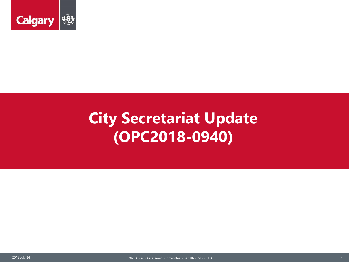

## **City Secretariat Update (OPC2018-0940)**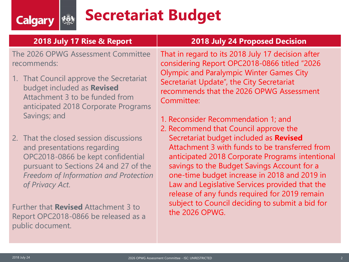## **Secretariat Budget**

| 2018 July 17 Rise & Report                                                                                                                     | <b>2018 July 24 Proposed Decision</b>                                                                                                                                                                                                                       |  |  |  |  |
|------------------------------------------------------------------------------------------------------------------------------------------------|-------------------------------------------------------------------------------------------------------------------------------------------------------------------------------------------------------------------------------------------------------------|--|--|--|--|
| The 2026 OPWG Assessment Committee<br>recommends:                                                                                              | That in regard to its 2018 July 17 decision after<br>considering Report OPC2018-0866 titled "2026<br><b>Olympic and Paralympic Winter Games City</b><br>Secretariat Update", the City Secretariat<br>recommends that the 2026 OPWG Assessment<br>Committee: |  |  |  |  |
| 1. That Council approve the Secretariat<br>budget included as Revised<br>Attachment 3 to be funded from<br>anticipated 2018 Corporate Programs |                                                                                                                                                                                                                                                             |  |  |  |  |
| Savings; and                                                                                                                                   | 1. Reconsider Recommendation 1; and<br>2. Recommend that Council approve the                                                                                                                                                                                |  |  |  |  |
| 2. That the closed session discussions                                                                                                         | Secretariat budget included as Revised                                                                                                                                                                                                                      |  |  |  |  |

and presentations regarding OPC2018-0866 be kept confidential pursuant to Sections 24 and 27 of the *Freedom of Information and Protection of Privacy Act*.

<u>rğy</u>

**Calgary** 

Further that **Revised** Attachment 3 to Report OPC2018-0866 be released as a public document.

Attachment 3 with funds to be transferred from anticipated 2018 Corporate Programs intentional savings to the Budget Savings Account for a one-time budget increase in 2018 and 2019 in Law and Legislative Services provided that the release of any funds required for 2019 remain subject to Council deciding to submit a bid for the 2026 OPWG.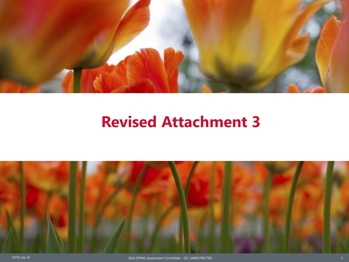

## **Revised Attachment 3**